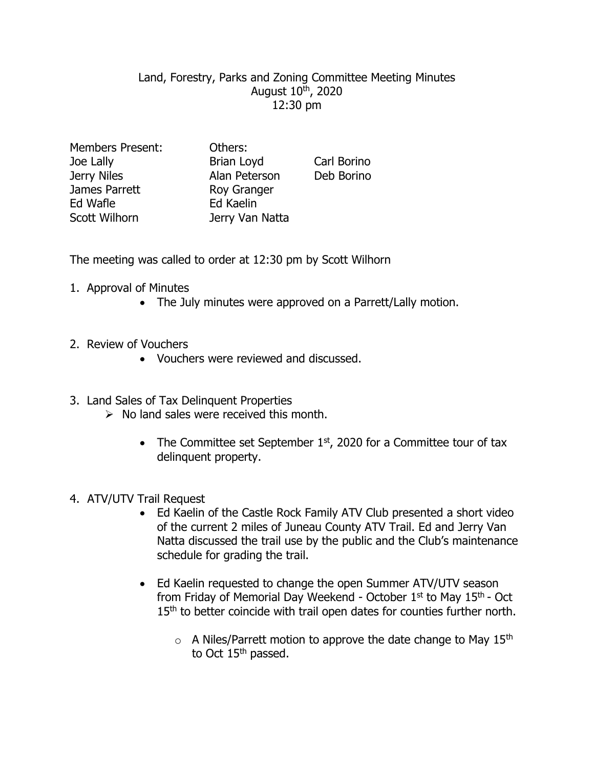## Land, Forestry, Parks and Zoning Committee Meeting Minutes August 10th, 2020 12:30 pm

| <b>Members Present:</b> |  |
|-------------------------|--|
| Joe Lally               |  |
| Jerry Niles             |  |
| James Parrett           |  |
| Ed Wafle                |  |
| <b>Scott Wilhorn</b>    |  |

Others: Brian Loyd Carl Borino Alan Peterson Deb Borino Roy Granger Ed Kaelin Jerry Van Natta

The meeting was called to order at 12:30 pm by Scott Wilhorn

- 1. Approval of Minutes
	- The July minutes were approved on a Parrett/Lally motion.
- 2. Review of Vouchers
	- Vouchers were reviewed and discussed.
- 3. Land Sales of Tax Delinquent Properties
	- $\triangleright$  No land sales were received this month.
		- The Committee set September  $1<sup>st</sup>$ , 2020 for a Committee tour of tax delinquent property.
- 4. ATV/UTV Trail Request
	- Ed Kaelin of the Castle Rock Family ATV Club presented a short video of the current 2 miles of Juneau County ATV Trail. Ed and Jerry Van Natta discussed the trail use by the public and the Club's maintenance schedule for grading the trail.
	- Ed Kaelin requested to change the open Summer ATV/UTV season from Friday of Memorial Day Weekend - October  $1<sup>st</sup>$  to May  $15<sup>th</sup>$  - Oct 15<sup>th</sup> to better coincide with trail open dates for counties further north.
		- $\circ$  A Niles/Parrett motion to approve the date change to May 15<sup>th</sup> to Oct 15<sup>th</sup> passed.